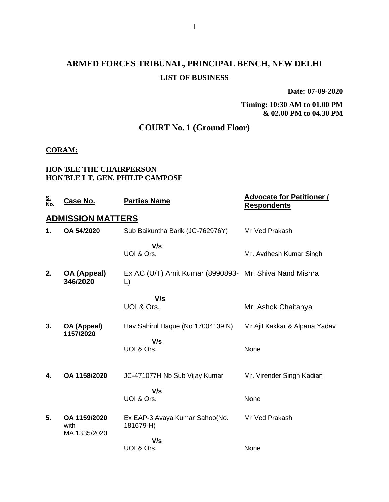# **ARMED FORCES TRIBUNAL, PRINCIPAL BENCH, NEW DELHI LIST OF BUSINESS**

**Date: 07-09-2020**

### **Timing: 10:30 AM to 01.00 PM & 02.00 PM to 04.30 PM**

# **COURT No. 1 (Ground Floor)**

### **CORAM:**

### **HON'BLE THE CHAIRPERSON HON'BLE LT. GEN. PHILIP CAMPOSE**

| <u>S.<br/>No.</u> | Case No.                             | <b>Parties Name</b>                                          | <b>Advocate for Petitioner /</b><br><b>Respondents</b> |
|-------------------|--------------------------------------|--------------------------------------------------------------|--------------------------------------------------------|
|                   | <b>ADMISSION MATTERS</b>             |                                                              |                                                        |
| 1.                | OA 54/2020                           | Sub Baikuntha Barik (JC-762976Y)                             | Mr Ved Prakash                                         |
|                   |                                      | V/s<br>UOI & Ors.                                            | Mr. Avdhesh Kumar Singh                                |
| 2.                | OA (Appeal)<br>346/2020              | Ex AC (U/T) Amit Kumar (8990893- Mr. Shiva Nand Mishra<br>L) |                                                        |
|                   |                                      | V/s                                                          |                                                        |
|                   |                                      | UOI & Ors.                                                   | Mr. Ashok Chaitanya                                    |
| 3.                | OA (Appeal)<br>1157/2020             | Hav Sahirul Haque (No 17004139 N)                            | Mr Ajit Kakkar & Alpana Yadav                          |
|                   |                                      | V/s<br>UOI & Ors.                                            | None                                                   |
| 4.                | OA 1158/2020                         | JC-471077H Nb Sub Vijay Kumar                                | Mr. Virender Singh Kadian                              |
|                   |                                      | V/s<br>UOI & Ors.                                            | None                                                   |
| 5.                | OA 1159/2020<br>with<br>MA 1335/2020 | Ex EAP-3 Avaya Kumar Sahoo(No.<br>181679-H)                  | Mr Ved Prakash                                         |
|                   |                                      | V/s<br>UOI & Ors.                                            | None                                                   |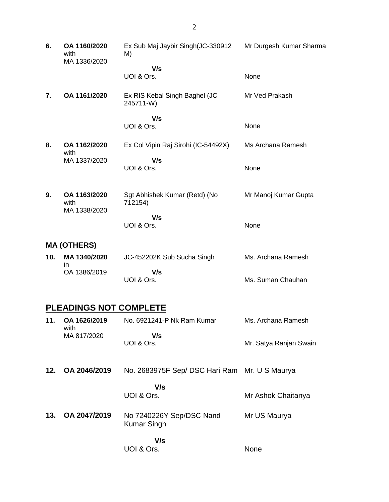**6. OA 1160/2020** with MA 1336/2020 Ex Sub Maj Jaybir Singh(JC-330912 M)  **V/s** UOI & Ors. Mr Durgesh Kumar Sharma None **7. OA 1161/2020** Ex RIS Kebal Singh Baghel (JC 245711-W)  **V/s** UOI & Ors. Mr Ved Prakash None **8. OA 1162/2020** with MA 1337/2020 Ex Col Vipin Raj Sirohi (IC-54492X)  **V/s** UOI & Ors. Ms Archana Ramesh None **9. OA 1163/2020** with MA 1338/2020 Sgt Abhishek Kumar (Retd) (No 712154)  **V/s** UOI & Ors. Mr Manoj Kumar Gupta None **MA (OTHERS) 10. MA 1340/2020** in OA 1386/2019 JC-452202K Sub Sucha Singh  **V/s** UOI & Ors. Ms. Archana Ramesh Ms. Suman Chauhan **PLEADINGS NOT COMPLETE**

| 11. | OA 1626/2019<br>with | No. 6921241-P Nk Ram Kumar                     | Ms. Archana Ramesh     |
|-----|----------------------|------------------------------------------------|------------------------|
|     | MA 817/2020          | V/s<br>UOI & Ors.                              | Mr. Satya Ranjan Swain |
| 12. | OA 2046/2019         | No. 2683975F Sep/ DSC Hari Ram Mr. U S Maurya  |                        |
|     |                      | V/s<br>UOI & Ors.                              | Mr Ashok Chaitanya     |
| 13. | OA 2047/2019         | No 7240226Y Sep/DSC Nand<br><b>Kumar Singh</b> | Mr US Maurya           |
|     |                      | V/s<br>UOI & Ors.                              | None                   |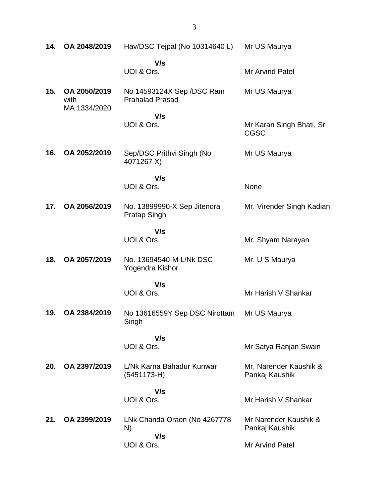| 14. | OA 2048/2019         | Hav/DSC Tejpal (No 10314640 L)                      | Mr US Maurya                             |
|-----|----------------------|-----------------------------------------------------|------------------------------------------|
|     |                      | V/s<br>UOI & Ors.                                   | <b>Mr Arvind Patel</b>                   |
| 15. | OA 2050/2019<br>with | No 14593124X Sep /DSC Ram<br><b>Prahalad Prasad</b> | Mr US Maurya                             |
|     | MA 1334/2020         | V/s<br>UOI & Ors.                                   | Mr Karan Singh Bhati, Sr<br><b>CGSC</b>  |
| 16. | OA 2052/2019         | Sep/DSC Prithvi Singh (No<br>4071267 X)             | Mr US Maurya                             |
|     |                      | V/s<br>UOI & Ors.                                   | None                                     |
| 17. | OA 2056/2019         | No. 13899990-X Sep Jitendra<br>Pratap Singh         | Mr. Virender Singh Kadian                |
|     |                      | V/s<br>UOI & Ors.                                   | Mr. Shyam Narayan                        |
| 18. | OA 2057/2019         | No. 13694540-M L/Nk DSC<br>Yogendra Kishor          | Mr. U S Maurya                           |
|     |                      | V/s<br>UOI & Ors.                                   | Mr Harish V Shankar                      |
| 19. | OA 2384/2019         | No 13616559Y Sep DSC Nirottam<br>Singh              | Mr US Maurya                             |
|     |                      | V/s<br>UOI & Ors.                                   | Mr Satya Ranjan Swain                    |
| 20. | OA 2397/2019         | L/Nk Karna Bahadur Kunwar<br>$(5451173-H)$          | Mr. Narender Kaushik &<br>Pankaj Kaushik |
|     |                      | V/s<br>UOI & Ors.                                   | Mr Harish V Shankar                      |
| 21. | OA 2399/2019         | LNk Chanda Oraon (No 4267778<br>N)                  | Mr Narender Kaushik &<br>Pankaj Kaushik  |
|     |                      | V/s<br>UOI & Ors.                                   | <b>Mr Arvind Patel</b>                   |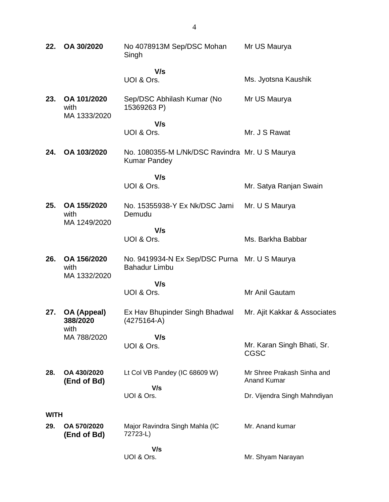| 22.         | OA 30/2020                          | No 4078913M Sep/DSC Mohan<br>Singh                                    | Mr US Maurya                                     |  |
|-------------|-------------------------------------|-----------------------------------------------------------------------|--------------------------------------------------|--|
|             |                                     | V/s                                                                   |                                                  |  |
|             |                                     | UOI & Ors.                                                            | Ms. Jyotsna Kaushik                              |  |
| 23.         | OA 101/2020<br>with<br>MA 1333/2020 | Sep/DSC Abhilash Kumar (No<br>15369263 P)                             | Mr US Maurya                                     |  |
|             |                                     | V/s                                                                   |                                                  |  |
|             |                                     | UOI & Ors.                                                            | Mr. J S Rawat                                    |  |
| 24.         | OA 103/2020                         | No. 1080355-M L/Nk/DSC Ravindra Mr. U S Maurya<br><b>Kumar Pandey</b> |                                                  |  |
|             |                                     | V/s                                                                   |                                                  |  |
|             |                                     | UOI & Ors.                                                            | Mr. Satya Ranjan Swain                           |  |
| 25.         | OA 155/2020<br>with<br>MA 1249/2020 | No. 15355938-Y Ex Nk/DSC Jami<br>Demudu                               | Mr. U S Maurya                                   |  |
|             |                                     | V/s                                                                   |                                                  |  |
|             |                                     | UOI & Ors.                                                            | Ms. Barkha Babbar                                |  |
| 26.         | OA 156/2020<br>with<br>MA 1332/2020 | No. 9419934-N Ex Sep/DSC Purna Mr. U S Maurya<br><b>Bahadur Limbu</b> |                                                  |  |
|             |                                     | V/s                                                                   |                                                  |  |
|             |                                     | UOI & Ors.                                                            | Mr Anil Gautam                                   |  |
| 27.         | OA (Appeal)<br>388/2020<br>with     | Ex Hav Bhupinder Singh Bhadwal<br>(4275164-A)                         | Mr. Ajit Kakkar & Associates                     |  |
|             | MA 788/2020                         | V/s                                                                   |                                                  |  |
|             |                                     | UOI & Ors.                                                            | Mr. Karan Singh Bhati, Sr.<br><b>CGSC</b>        |  |
| 28.         | OA 430/2020<br>(End of Bd)          | Lt Col VB Pandey (IC 68609 W)                                         | Mr Shree Prakash Sinha and<br><b>Anand Kumar</b> |  |
|             |                                     | V/s<br>UOI & Ors.                                                     | Dr. Vijendra Singh Mahndiyan                     |  |
| <b>WITH</b> |                                     |                                                                       |                                                  |  |
| 29.         | OA 570/2020<br>(End of Bd)          | Major Ravindra Singh Mahla (IC<br>72723-L)                            | Mr. Anand kumar                                  |  |
|             |                                     | V/s<br>UOI & Ors.                                                     | Mr. Shyam Narayan                                |  |
|             |                                     |                                                                       |                                                  |  |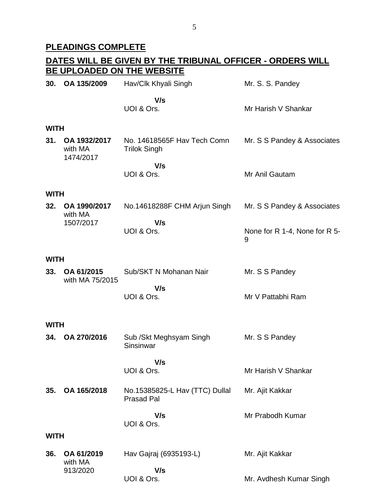## **PLEADINGS COMPLETE**

#### **DATES WILL BE GIVEN BY THE TRIBUNAL OFFICER - ORDERS WILL BE UPLOADED ON THE WEBSITE 30. OA 135/2009** Hav/Clk Khyali Singh  **V/s** UOI & Ors. Mr. S. S. Pandey Mr Harish V Shankar **WITH 31. OA 1932/2017** with MA 1474/2017 No. 14618565F Hav Tech Comn Trilok Singh  **V/s** UOI & Ors. Mr. S S Pandey & Associates Mr Anil Gautam **WITH 32. OA 1990/2017** with MA 1507/2017 No.14618288F CHM Arjun Singh  **V/s** UOI & Ors. Mr. S S Pandey & Associates None for R 1-4, None for R 5- 9 **WITH 33. OA 61/2015** with MA 75/2015 Sub/SKT N Mohanan Nair  **V/s** UOI & Ors. Mr. S S Pandey Mr V Pattabhi Ram **WITH 34. OA 270/2016** Sub /Skt Meghsyam Singh Sinsinwar  **V/s** UOI & Ors. Mr. S S Pandey Mr Harish V Shankar **35. OA 165/2018** No.15385825-L Hav (TTC) Dullal Prasad Pal  **V/s** UOI & Ors. Mr. Ajit Kakkar Mr Prabodh Kumar **WITH 36. OA 61/2019** with MA 913/2020 Hav Gajraj (6935193-L)  **V/s** UOI & Ors. Mr. Ajit Kakkar Mr. Avdhesh Kumar Singh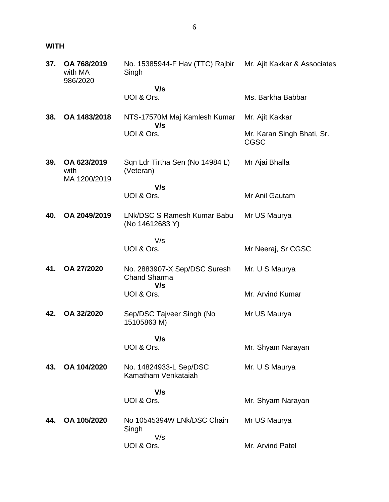# **WITH**

| 37. | OA 768/2019<br>with MA<br>986/2020 | No. 15385944-F Hav (TTC) Rajbir Mr. Ajit Kakkar & Associates<br>Singh |                                           |
|-----|------------------------------------|-----------------------------------------------------------------------|-------------------------------------------|
|     |                                    | V/s<br>UOI & Ors.                                                     | Ms. Barkha Babbar                         |
|     |                                    |                                                                       |                                           |
| 38. | OA 1483/2018                       | NTS-17570M Maj Kamlesh Kumar<br>V/s                                   | Mr. Ajit Kakkar                           |
|     |                                    | UOI & Ors.                                                            | Mr. Karan Singh Bhati, Sr.<br><b>CGSC</b> |
| 39. | OA 623/2019<br>with                | Sqn Ldr Tirtha Sen (No 14984 L)<br>(Veteran)                          | Mr Ajai Bhalla                            |
|     | MA 1200/2019                       | V/s                                                                   |                                           |
|     |                                    | UOI & Ors.                                                            | Mr Anil Gautam                            |
| 40. | OA 2049/2019                       | LNk/DSC S Ramesh Kumar Babu<br>(No 14612683 Y)                        | Mr US Maurya                              |
|     |                                    | V/s<br>UOI & Ors.                                                     |                                           |
|     |                                    |                                                                       | Mr Neeraj, Sr CGSC                        |
| 41. | OA 27/2020                         | No. 2883907-X Sep/DSC Suresh<br><b>Chand Sharma</b><br>V/s            | Mr. U S Maurya                            |
|     |                                    | UOI & Ors.                                                            | Mr. Arvind Kumar                          |
| 42. | OA 32/2020                         | Sep/DSC Tajveer Singh (No<br>15105863 M)                              | Mr US Maurya                              |
|     |                                    | V/s                                                                   |                                           |
|     |                                    | UOI & Ors.                                                            | Mr. Shyam Narayan                         |
| 43. | OA 104/2020                        | No. 14824933-L Sep/DSC<br>Kamatham Venkataiah                         | Mr. U S Maurya                            |
|     |                                    | V/s                                                                   |                                           |
|     |                                    | UOI & Ors.                                                            | Mr. Shyam Narayan                         |
| 44. | OA 105/2020                        | No 10545394W LNk/DSC Chain<br>Singh                                   | Mr US Maurya                              |
|     |                                    | V/s<br>UOI & Ors.                                                     | Mr. Arvind Patel                          |
|     |                                    |                                                                       |                                           |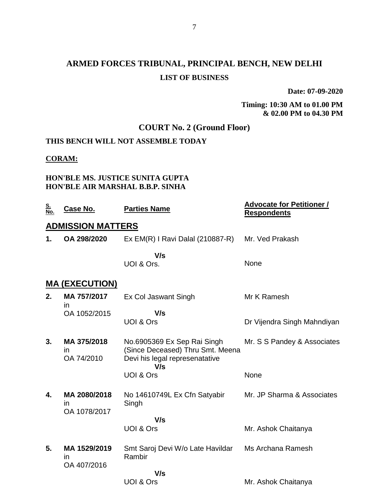# **ARMED FORCES TRIBUNAL, PRINCIPAL BENCH, NEW DELHI LIST OF BUSINESS**

**Date: 07-09-2020**

### **Timing: 10:30 AM to 01.00 PM & 02.00 PM to 04.30 PM**

# **COURT No. 2 (Ground Floor)**

# **THIS BENCH WILL NOT ASSEMBLE TODAY**

# **CORAM:**

## **HON'BLE MS. JUSTICE SUNITA GUPTA HON'BLE AIR MARSHAL B.B.P. SINHA**

| <u>S.<br/>No.</u> | <u>Case No.</u>                    | <b>Parties Name</b>                                                                                      | <b>Advocate for Petitioner /</b><br>Respondents |
|-------------------|------------------------------------|----------------------------------------------------------------------------------------------------------|-------------------------------------------------|
|                   | <b>ADMISSION MATTERS</b>           |                                                                                                          |                                                 |
| 1.                | OA 298/2020                        | $Ex EM(R)$ I Ravi Dalal (210887-R)                                                                       | Mr. Ved Prakash                                 |
|                   |                                    | V/s<br>UOI & Ors.                                                                                        | None                                            |
|                   | <u>MA (EXECUTION)</u>              |                                                                                                          |                                                 |
| 2.                | MA 757/2017                        | Ex Col Jaswant Singh                                                                                     | Mr K Ramesh                                     |
|                   | in<br>OA 1052/2015                 | V/s<br><b>UOI &amp; Ors</b>                                                                              | Dr Vijendra Singh Mahndiyan                     |
| 3.                | MA 375/2018<br>in<br>OA 74/2010    | No.6905369 Ex Sep Rai Singh<br>(Since Deceased) Thru Smt. Meena<br>Devi his legal represenatative<br>V/s | Mr. S S Pandey & Associates                     |
|                   |                                    | <b>UOI &amp; Ors</b>                                                                                     | None                                            |
| 4.                | MA 2080/2018<br>in<br>OA 1078/2017 | No 14610749L Ex Cfn Satyabir<br>Singh                                                                    | Mr. JP Sharma & Associates                      |
|                   |                                    | V/s                                                                                                      |                                                 |
|                   |                                    | <b>UOI &amp; Ors</b>                                                                                     | Mr. Ashok Chaitanya                             |
| 5.                | MA 1529/2019<br>in<br>OA 407/2016  | Smt Saroj Devi W/o Late Havildar<br>Rambir                                                               | Ms Archana Ramesh                               |
|                   |                                    | V/s                                                                                                      |                                                 |
|                   |                                    | <b>UOI &amp; Ors</b>                                                                                     | Mr. Ashok Chaitanya                             |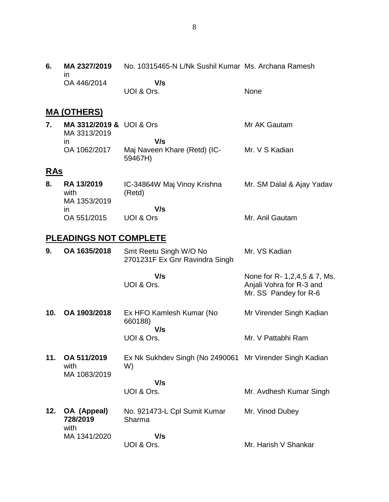| 6.         | MA 2327/2019<br>ın                       | No. 10315465-N L/Nk Sushil Kumar Ms. Archana Ramesh            |                                                                                      |
|------------|------------------------------------------|----------------------------------------------------------------|--------------------------------------------------------------------------------------|
|            | OA 446/2014                              | V/s<br>UOI & Ors.                                              | None                                                                                 |
|            | <u>MA (OTHERS)</u>                       |                                                                |                                                                                      |
| 7.         | MA 3312/2019 & UOI & Ors<br>MA 3313/2019 |                                                                | Mr AK Gautam                                                                         |
|            | $\mathsf{I}$<br>OA 1062/2017             | V/s<br>Maj Naveen Khare (Retd) (IC-<br>59467H)                 | Mr. V S Kadian                                                                       |
| <b>RAS</b> |                                          |                                                                |                                                                                      |
| 8.         | RA 13/2019<br>with<br>MA 1353/2019       | IC-34864W Maj Vinoy Krishna<br>(Retd)                          | Mr. SM Dalal & Ajay Yadav                                                            |
|            | $\mathsf{I}$<br>OA 551/2015              | V/s<br><b>UOI &amp; Ors</b>                                    | Mr. Anil Gautam                                                                      |
|            | <b>PLEADINGS NOT COMPLETE</b>            |                                                                |                                                                                      |
| 9.         | OA 1635/2018                             | Smt Reetu Singh W/O No<br>2701231F Ex Gnr Ravindra Singh       | Mr. VS Kadian                                                                        |
|            |                                          | V/s<br>UOI & Ors.                                              | None for R- 1, 2, 4, 5 & 7, Ms.<br>Anjali Vohra for R-3 and<br>Mr. SS Pandey for R-6 |
| 10.        | OA 1903/2018                             | Ex HFO Kamlesh Kumar (No<br>660188)                            | Mr Virender Singh Kadian                                                             |
|            |                                          | V/s<br>UOI & Ors.                                              | Mr. V Pattabhi Ram                                                                   |
| 11.        | OA 511/2019<br>with<br>MA 1083/2019      | Ex Nk Sukhdev Singh (No 2490061 Mr Virender Singh Kadian<br>W) |                                                                                      |
|            |                                          | V/s                                                            |                                                                                      |
|            |                                          | UOI & Ors.                                                     | Mr. Avdhesh Kumar Singh                                                              |
| 12.        | OA (Appeal)<br>728/2019<br>with          | No. 921473-L Cpl Sumit Kumar<br>Sharma                         | Mr. Vinod Dubey                                                                      |
|            | MA 1341/2020                             | V/s<br>UOI & Ors.                                              | Mr. Harish V Shankar                                                                 |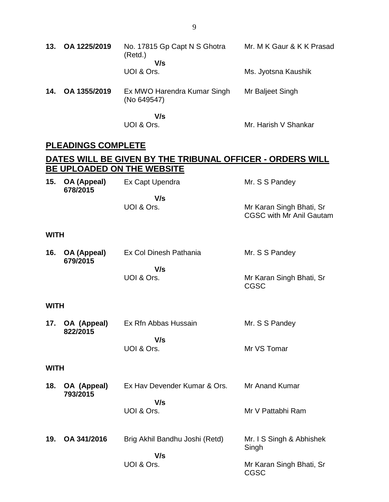| 13.         | OA 1225/2019              | No. 17815 Gp Capt N S Ghotra<br>(Retd.)                          | Mr. M K Gaur & K K Prasad                                   |
|-------------|---------------------------|------------------------------------------------------------------|-------------------------------------------------------------|
|             |                           | V/s<br>UOI & Ors.                                                | Ms. Jyotsna Kaushik                                         |
| 14.         | OA 1355/2019              | Ex MWO Harendra Kumar Singh<br>(No 649547)                       | Mr Baljeet Singh                                            |
|             |                           | V/s<br>UOI & Ors.                                                | Mr. Harish V Shankar                                        |
|             | <b>PLEADINGS COMPLETE</b> |                                                                  |                                                             |
|             |                           | <u>DATES WILL BE GIVEN BY THE TRIBUNAL OFFICER - ORDERS WILL</u> |                                                             |
| 15.         | OA (Appeal)<br>678/2015   | BE UPLOADED ON THE WEBSITE<br>Ex Capt Upendra                    | Mr. S S Pandey                                              |
|             |                           | V/s<br>UOI & Ors.                                                | Mr Karan Singh Bhati, Sr<br><b>CGSC with Mr Anil Gautam</b> |
| <b>WITH</b> |                           |                                                                  |                                                             |
| 16.         | OA (Appeal)<br>679/2015   | Ex Col Dinesh Pathania                                           | Mr. S S Pandey                                              |
|             |                           | V/s<br>UOI & Ors.                                                | Mr Karan Singh Bhati, Sr<br><b>CGSC</b>                     |
| <b>WITH</b> |                           |                                                                  |                                                             |
| 17.         | OA (Appeal)<br>822/2015   | Ex Rfn Abbas Hussain                                             | Mr. S S Pandey                                              |
|             |                           | V/s<br>UOI & Ors.                                                | Mr VS Tomar                                                 |
| <b>WITH</b> |                           |                                                                  |                                                             |
| 18.         | OA (Appeal)<br>793/2015   | Ex Hav Devender Kumar & Ors.                                     | Mr Anand Kumar                                              |
|             |                           | V/s<br>UOI & Ors.                                                | Mr V Pattabhi Ram                                           |
| 19.         | OA 341/2016               | Brig Akhil Bandhu Joshi (Retd)                                   | Mr. I S Singh & Abhishek<br>Singh                           |
|             |                           | V/s<br>UOI & Ors.                                                | Mr Karan Singh Bhati, Sr<br><b>CGSC</b>                     |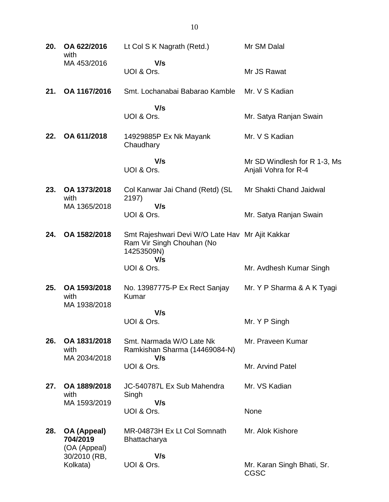| 20. | OA 622/2016<br>with                     | Lt Col S K Nagrath (Retd.)                                                                 | Mr SM Dalal                                          |
|-----|-----------------------------------------|--------------------------------------------------------------------------------------------|------------------------------------------------------|
|     | MA 453/2016                             | V/s<br>UOI & Ors.                                                                          | Mr JS Rawat                                          |
| 21. | OA 1167/2016                            | Smt. Lochanabai Babarao Kamble                                                             | Mr. V S Kadian                                       |
|     |                                         | V/s<br>UOI & Ors.                                                                          | Mr. Satya Ranjan Swain                               |
| 22. | OA 611/2018                             | 14929885P Ex Nk Mayank<br>Chaudhary                                                        | Mr. V S Kadian                                       |
|     |                                         | V/s<br>UOI & Ors.                                                                          | Mr SD Windlesh for R 1-3, Ms<br>Anjali Vohra for R-4 |
| 23. | OA 1373/2018<br>with                    | Col Kanwar Jai Chand (Retd) (SL<br>2197)                                                   | Mr Shakti Chand Jaidwal                              |
|     | MA 1365/2018                            | V/s<br>UOI & Ors.                                                                          | Mr. Satya Ranjan Swain                               |
| 24. | OA 1582/2018                            | Smt Rajeshwari Devi W/O Late Hav Mr Ajit Kakkar<br>Ram Vir Singh Chouhan (No<br>14253509N) |                                                      |
|     |                                         | V/s<br>UOI & Ors.                                                                          | Mr. Avdhesh Kumar Singh                              |
| 25. | OA 1593/2018<br>with<br>MA 1938/2018    | No. 13987775-P Ex Rect Sanjay<br>Kumar                                                     | Mr. Y P Sharma & A K Tyagi                           |
|     |                                         | V/s<br>UOI & Ors.                                                                          | Mr. Y P Singh                                        |
| 26. | OA 1831/2018<br>with                    | Smt. Narmada W/O Late Nk<br>Ramkishan Sharma (14469084-N)                                  | Mr. Praveen Kumar                                    |
|     | MA 2034/2018                            | V/s<br>UOI & Ors.                                                                          | Mr. Arvind Patel                                     |
| 27. | OA 1889/2018<br>with                    | JC-540787L Ex Sub Mahendra<br>Singh                                                        | Mr. VS Kadian                                        |
|     | MA 1593/2019                            | V/s<br>UOI & Ors.                                                                          | None                                                 |
| 28. | OA (Appeal)<br>704/2019<br>(OA (Appeal) | MR-04873H Ex Lt Col Somnath<br>Bhattacharya                                                | Mr. Alok Kishore                                     |
|     | 30/2010 (RB,<br>Kolkata)                | V/s<br>UOI & Ors.                                                                          | Mr. Karan Singh Bhati, Sr.<br><b>CGSC</b>            |